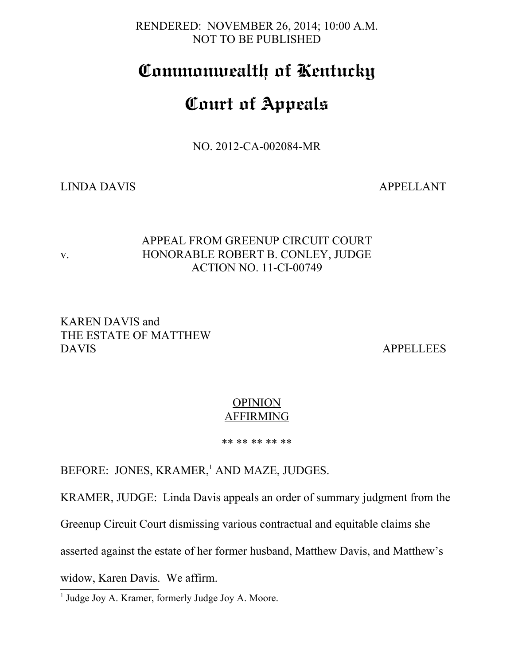RENDERED: NOVEMBER 26, 2014; 10:00 A.M. NOT TO BE PUBLISHED

# **Commonwealth of Kentucky**

# **Court of Appeals**

NO. 2012-CA-002084-MR

LINDA DAVIS APPELLANT

### APPEAL FROM GREENUP CIRCUIT COURT v. HONORABLE ROBERT B. CONLEY, JUDGE ACTION NO. 11-CI-00749

### KAREN DAVIS and THE ESTATE OF MATTHEW DAVIS APPELLEES

## **OPINION** AFFIRMING

\*\* \*\* \*\* \*\* \*\*

BEFORE: JONES, KRAMER,<sup>[1](#page-0-0)</sup> AND MAZE, JUDGES.

KRAMER, JUDGE: Linda Davis appeals an order of summary judgment from the

Greenup Circuit Court dismissing various contractual and equitable claims she

asserted against the estate of her former husband, Matthew Davis, and Matthew's

widow, Karen Davis. We affirm.

<span id="page-0-0"></span><sup>1</sup> Judge Joy A. Kramer, formerly Judge Joy A. Moore.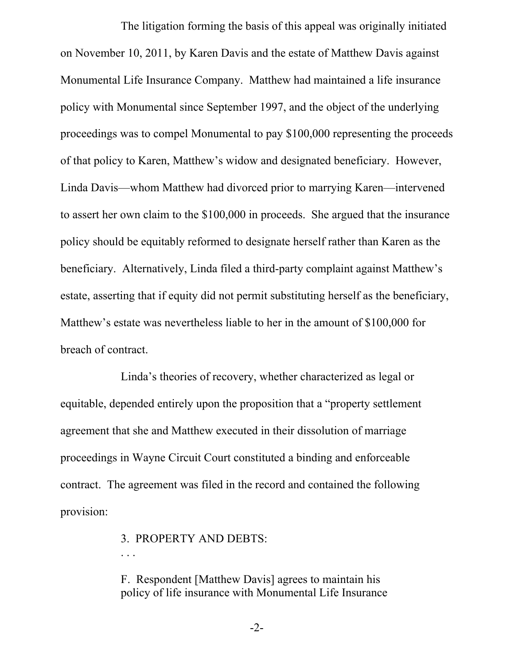The litigation forming the basis of this appeal was originally initiated on November 10, 2011, by Karen Davis and the estate of Matthew Davis against Monumental Life Insurance Company. Matthew had maintained a life insurance policy with Monumental since September 1997, and the object of the underlying proceedings was to compel Monumental to pay \$100,000 representing the proceeds of that policy to Karen, Matthew's widow and designated beneficiary. However, Linda Davis—whom Matthew had divorced prior to marrying Karen—intervened to assert her own claim to the \$100,000 in proceeds. She argued that the insurance policy should be equitably reformed to designate herself rather than Karen as the beneficiary. Alternatively, Linda filed a third-party complaint against Matthew's estate, asserting that if equity did not permit substituting herself as the beneficiary, Matthew's estate was nevertheless liable to her in the amount of \$100,000 for breach of contract.

Linda's theories of recovery, whether characterized as legal or equitable, depended entirely upon the proposition that a "property settlement agreement that she and Matthew executed in their dissolution of marriage proceedings in Wayne Circuit Court constituted a binding and enforceable contract. The agreement was filed in the record and contained the following provision:

3. PROPERTY AND DEBTS:

. . .

F. Respondent [Matthew Davis] agrees to maintain his policy of life insurance with Monumental Life Insurance

-2-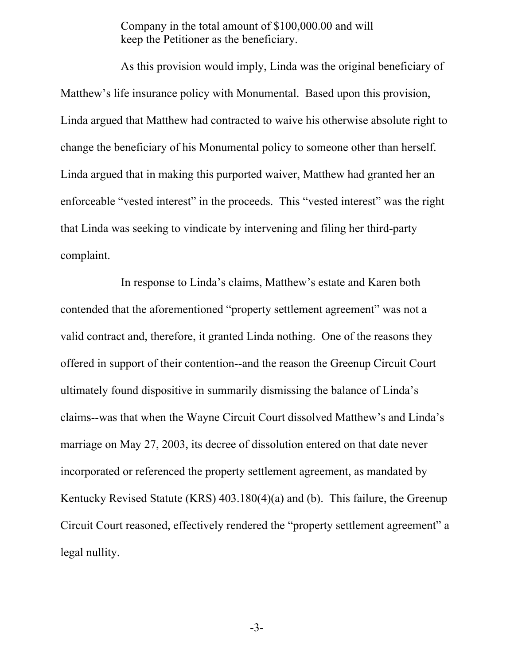Company in the total amount of \$100,000.00 and will keep the Petitioner as the beneficiary.

As this provision would imply, Linda was the original beneficiary of Matthew's life insurance policy with Monumental. Based upon this provision, Linda argued that Matthew had contracted to waive his otherwise absolute right to change the beneficiary of his Monumental policy to someone other than herself. Linda argued that in making this purported waiver, Matthew had granted her an enforceable "vested interest" in the proceeds. This "vested interest" was the right that Linda was seeking to vindicate by intervening and filing her third-party complaint.

In response to Linda's claims, Matthew's estate and Karen both contended that the aforementioned "property settlement agreement" was not a valid contract and, therefore, it granted Linda nothing. One of the reasons they offered in support of their contention--and the reason the Greenup Circuit Court ultimately found dispositive in summarily dismissing the balance of Linda's claims--was that when the Wayne Circuit Court dissolved Matthew's and Linda's marriage on May 27, 2003, its decree of dissolution entered on that date never incorporated or referenced the property settlement agreement, as mandated by Kentucky Revised Statute (KRS) 403.180(4)(a) and (b). This failure, the Greenup Circuit Court reasoned, effectively rendered the "property settlement agreement" a legal nullity.

-3-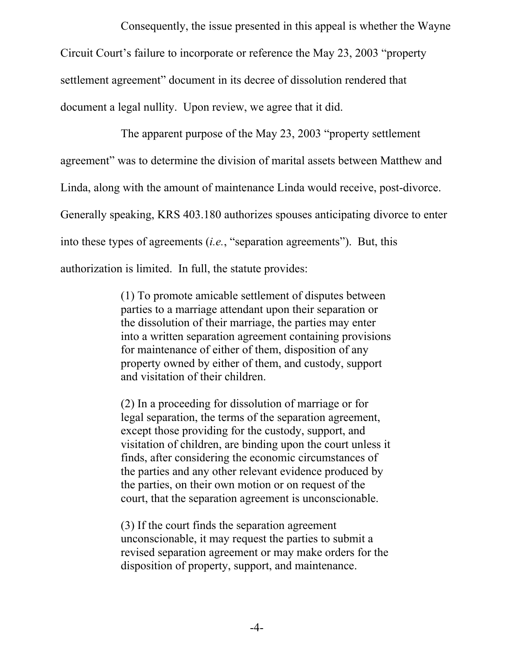Consequently, the issue presented in this appeal is whether the Wayne Circuit Court's failure to incorporate or reference the May 23, 2003 "property settlement agreement" document in its decree of dissolution rendered that document a legal nullity. Upon review, we agree that it did.

The apparent purpose of the May 23, 2003 "property settlement agreement" was to determine the division of marital assets between Matthew and Linda, along with the amount of maintenance Linda would receive, post-divorce. Generally speaking, KRS 403.180 authorizes spouses anticipating divorce to enter into these types of agreements (*i.e.*, "separation agreements"). But, this authorization is limited. In full, the statute provides:

> (1) To promote amicable settlement of disputes between parties to a marriage attendant upon their separation or the dissolution of their marriage, the parties may enter into a written separation agreement containing provisions for maintenance of either of them, disposition of any property owned by either of them, and custody, support and visitation of their children.

> (2) In a proceeding for dissolution of marriage or for legal separation, the terms of the separation agreement, except those providing for the custody, support, and visitation of children, are binding upon the court unless it finds, after considering the economic circumstances of the parties and any other relevant evidence produced by the parties, on their own motion or on request of the court, that the separation agreement is unconscionable.

(3) If the court finds the separation agreement unconscionable, it may request the parties to submit a revised separation agreement or may make orders for the disposition of property, support, and maintenance.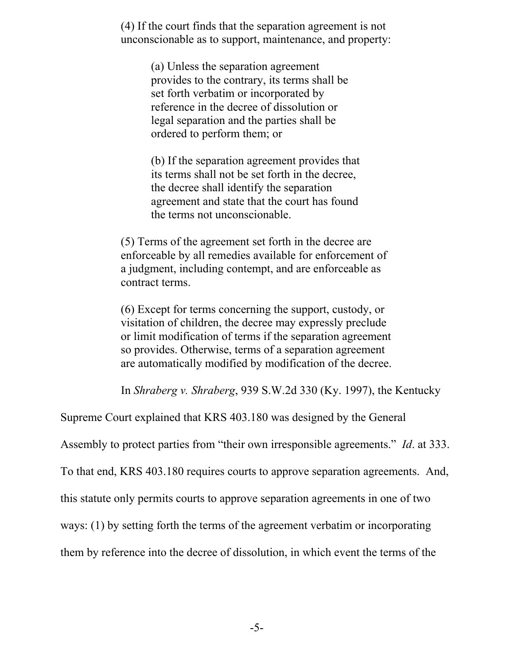(4) If the court finds that the separation agreement is not unconscionable as to support, maintenance, and property:

> (a) Unless the separation agreement provides to the contrary, its terms shall be set forth verbatim or incorporated by reference in the decree of dissolution or legal separation and the parties shall be ordered to perform them; or

(b) If the separation agreement provides that its terms shall not be set forth in the decree, the decree shall identify the separation agreement and state that the court has found the terms not unconscionable.

(5) Terms of the agreement set forth in the decree are enforceable by all remedies available for enforcement of a judgment, including contempt, and are enforceable as contract terms.

(6) Except for terms concerning the support, custody, or visitation of children, the decree may expressly preclude or limit modification of terms if the separation agreement so provides. Otherwise, terms of a separation agreement are automatically modified by modification of the decree.

In *Shraberg v. Shraberg*, 939 S.W.2d 330 (Ky. 1997), the Kentucky

Supreme Court explained that KRS 403.180 was designed by the General

Assembly to protect parties from "their own irresponsible agreements." *Id*. at 333.

To that end, KRS 403.180 requires courts to approve separation agreements. And,

this statute only permits courts to approve separation agreements in one of two

ways: (1) by setting forth the terms of the agreement verbatim or incorporating

them by reference into the decree of dissolution, in which event the terms of the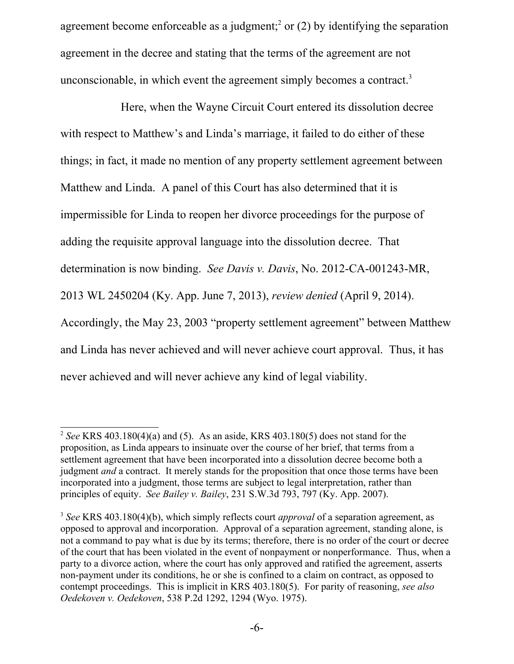agreement become enforceable as a judgment;<sup>[2](#page-5-0)</sup> or (2) by identifying the separation agreement in the decree and stating that the terms of the agreement are not unconscionable, in which event the agreement simply becomes a contract.<sup>[3](#page-5-1)</sup>

Here, when the Wayne Circuit Court entered its dissolution decree with respect to Matthew's and Linda's marriage, it failed to do either of these things; in fact, it made no mention of any property settlement agreement between Matthew and Linda. A panel of this Court has also determined that it is impermissible for Linda to reopen her divorce proceedings for the purpose of adding the requisite approval language into the dissolution decree. That determination is now binding. *See Davis v. Davis*, No. 2012-CA-001243-MR, 2013 WL 2450204 (Ky. App. June 7, 2013), *review denied* (April 9, 2014). Accordingly, the May 23, 2003 "property settlement agreement" between Matthew and Linda has never achieved and will never achieve court approval. Thus, it has never achieved and will never achieve any kind of legal viability.

<span id="page-5-0"></span><sup>2</sup> *See* KRS 403.180(4)(a) and (5). As an aside, KRS 403.180(5) does not stand for the proposition, as Linda appears to insinuate over the course of her brief, that terms from a settlement agreement that have been incorporated into a dissolution decree become both a judgment *and* a contract. It merely stands for the proposition that once those terms have been incorporated into a judgment, those terms are subject to legal interpretation, rather than principles of equity. *See Bailey v. Bailey*, 231 S.W.3d 793, 797 (Ky. App. 2007).

<span id="page-5-1"></span><sup>3</sup> *See* KRS 403.180(4)(b), which simply reflects court *approval* of a separation agreement, as opposed to approval and incorporation. Approval of a separation agreement, standing alone, is not a command to pay what is due by its terms; therefore, there is no order of the court or decree of the court that has been violated in the event of nonpayment or nonperformance. Thus, when a party to a divorce action, where the court has only approved and ratified the agreement, asserts non-payment under its conditions, he or she is confined to a claim on contract, as opposed to contempt proceedings. This is implicit in KRS 403.180(5). For parity of reasoning, *see also Oedekoven v. Oedekoven*, 538 P.2d 1292, 1294 (Wyo. 1975).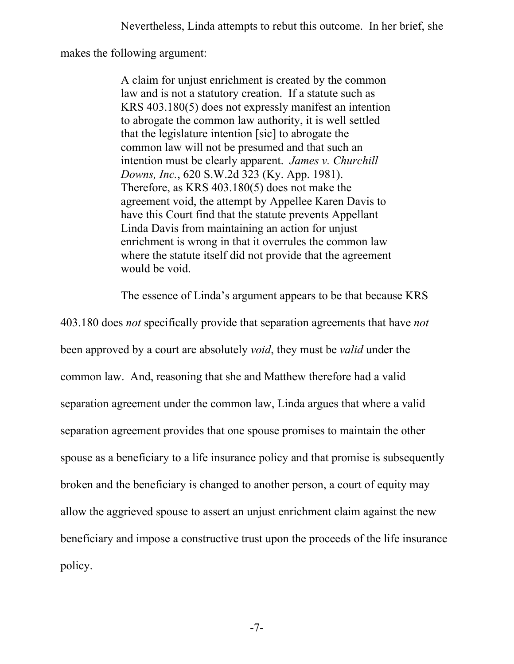makes the following argument:

A claim for unjust enrichment is created by the common law and is not a statutory creation. If a statute such as KRS 403.180(5) does not expressly manifest an intention to abrogate the common law authority, it is well settled that the legislature intention [sic] to abrogate the common law will not be presumed and that such an intention must be clearly apparent. *James v. Churchill Downs, Inc.*, 620 S.W.2d 323 (Ky. App. 1981). Therefore, as KRS 403.180(5) does not make the agreement void, the attempt by Appellee Karen Davis to have this Court find that the statute prevents Appellant Linda Davis from maintaining an action for unjust enrichment is wrong in that it overrules the common law where the statute itself did not provide that the agreement would be void.

The essence of Linda's argument appears to be that because KRS

403.180 does *not* specifically provide that separation agreements that have *not* been approved by a court are absolutely *void*, they must be *valid* under the common law. And, reasoning that she and Matthew therefore had a valid separation agreement under the common law, Linda argues that where a valid separation agreement provides that one spouse promises to maintain the other spouse as a beneficiary to a life insurance policy and that promise is subsequently broken and the beneficiary is changed to another person, a court of equity may allow the aggrieved spouse to assert an unjust enrichment claim against the new beneficiary and impose a constructive trust upon the proceeds of the life insurance policy.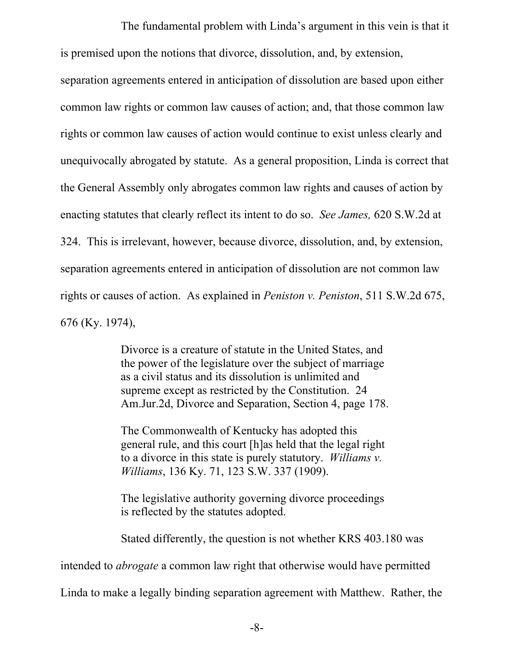The fundamental problem with Linda's argument in this vein is that it is premised upon the notions that divorce, dissolution, and, by extension,

separation agreements entered in anticipation of dissolution are based upon either common law rights or common law causes of action; and, that those common law rights or common law causes of action would continue to exist unless clearly and unequivocally abrogated by statute. As a general proposition, Linda is correct that the General Assembly only abrogates common law rights and causes of action by enacting statutes that clearly reflect its intent to do so. *See James,* 620 S.W.2d at 324. This is irrelevant, however, because divorce, dissolution, and, by extension, separation agreements entered in anticipation of dissolution are not common law rights or causes of action. As explained in *Peniston v. Peniston*, 511 S.W.2d 675, 676 (Ky. 1974),

> Divorce is a creature of statute in the United States, and the power of the legislature over the subject of marriage as a civil status and its dissolution is unlimited and supreme except as restricted by the Constitution. 24 Am.Jur.2d, Divorce and Separation, Section 4, page 178.

> The Commonwealth of Kentucky has adopted this general rule, and this court [h]as held that the legal right to a divorce in this state is purely statutory. *Williams v. Williams*, 136 Ky. 71, 123 S.W. 337 (1909).

> The legislative authority governing divorce proceedings is reflected by the statutes adopted.

Stated differently, the question is not whether KRS 403.180 was

intended to *abrogate* a common law right that otherwise would have permitted

Linda to make a legally binding separation agreement with Matthew. Rather, the